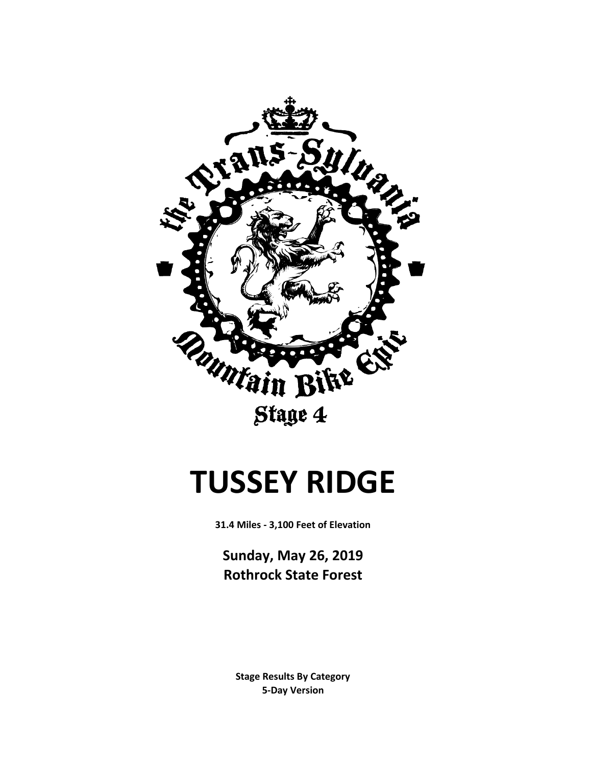

Stage 4

# **TUSSEY RIDGE**

**31.4 Miles - 3,100 Feet of Elevation**

**Sunday, May 26, 2019 Rothrock State Forest**

**5-Day Version Stage Results By Category**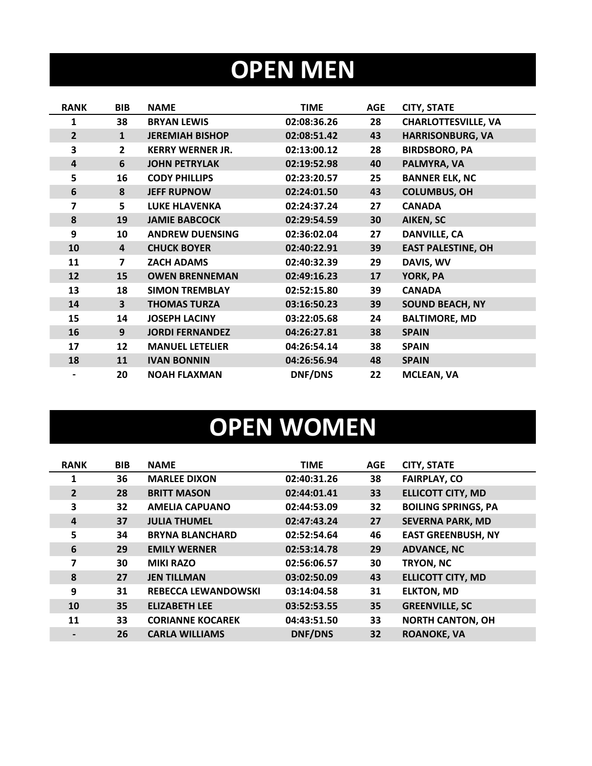## **OPEN MEN**

| <b>RANK</b>    | <b>BIB</b>              | <b>NAME</b>             | <b>TIME</b> | <b>AGE</b> | <b>CITY, STATE</b>         |
|----------------|-------------------------|-------------------------|-------------|------------|----------------------------|
| 1              | 38                      | <b>BRYAN LEWIS</b>      | 02:08:36.26 | 28         | <b>CHARLOTTESVILLE, VA</b> |
| $\overline{2}$ | $\mathbf{1}$            | <b>JEREMIAH BISHOP</b>  | 02:08:51.42 | 43         | <b>HARRISONBURG, VA</b>    |
| 3              | $\mathbf{2}$            | <b>KERRY WERNER JR.</b> | 02:13:00.12 | 28         | <b>BIRDSBORO, PA</b>       |
| $\overline{4}$ | 6                       | <b>JOHN PETRYLAK</b>    | 02:19:52.98 | 40         | PALMYRA, VA                |
| 5              | 16                      | <b>CODY PHILLIPS</b>    | 02:23:20.57 | 25         | <b>BANNER ELK, NC</b>      |
| 6              | 8                       | <b>JEFF RUPNOW</b>      | 02:24:01.50 | 43         | <b>COLUMBUS, OH</b>        |
| 7              | 5                       | <b>LUKE HLAVENKA</b>    | 02:24:37.24 | 27         | <b>CANADA</b>              |
| 8              | 19                      | <b>JAMIE BABCOCK</b>    | 02:29:54.59 | 30         | <b>AIKEN, SC</b>           |
| 9              | 10                      | <b>ANDREW DUENSING</b>  | 02:36:02.04 | 27         | <b>DANVILLE, CA</b>        |
| 10             | 4                       | <b>CHUCK BOYER</b>      | 02:40:22.91 | 39         | <b>EAST PALESTINE, OH</b>  |
| 11             | $\overline{\mathbf{z}}$ | <b>ZACH ADAMS</b>       | 02:40:32.39 | 29         | DAVIS, WV                  |
| 12             | 15                      | <b>OWEN BRENNEMAN</b>   | 02:49:16.23 | 17         | YORK, PA                   |
| 13             | 18                      | <b>SIMON TREMBLAY</b>   | 02:52:15.80 | 39         | <b>CANADA</b>              |
| 14             | $\overline{\mathbf{3}}$ | <b>THOMAS TURZA</b>     | 03:16:50.23 | 39         | <b>SOUND BEACH, NY</b>     |
| 15             | 14                      | <b>JOSEPH LACINY</b>    | 03:22:05.68 | 24         | <b>BALTIMORE, MD</b>       |
| 16             | 9                       | <b>JORDI FERNANDEZ</b>  | 04:26:27.81 | 38         | <b>SPAIN</b>               |
| 17             | 12                      | <b>MANUEL LETELIER</b>  | 04:26:54.14 | 38         | <b>SPAIN</b>               |
| 18             | 11                      | <b>IVAN BONNIN</b>      | 04:26:56.94 | 48         | <b>SPAIN</b>               |
|                | 20                      | <b>NOAH FLAXMAN</b>     | DNF/DNS     | 22         | <b>MCLEAN, VA</b>          |

# **OPEN WOMEN**

| <b>RANK</b>    | <b>BIB</b> | <b>NAME</b>                | <b>TIME</b>    | <b>AGE</b> | <b>CITY, STATE</b>         |
|----------------|------------|----------------------------|----------------|------------|----------------------------|
| 1              | 36         | <b>MARLEE DIXON</b>        | 02:40:31.26    | 38         | <b>FAIRPLAY, CO</b>        |
| $\overline{2}$ | 28         | <b>BRITT MASON</b>         | 02:44:01.41    | 33         | <b>ELLICOTT CITY, MD</b>   |
| 3              | 32         | <b>AMELIA CAPUANO</b>      | 02:44:53.09    | 32         | <b>BOILING SPRINGS, PA</b> |
| 4              | 37         | <b>JULIA THUMEL</b>        | 02:47:43.24    | 27         | <b>SEVERNA PARK, MD</b>    |
| 5              | 34         | <b>BRYNA BLANCHARD</b>     | 02:52:54.64    | 46         | <b>EAST GREENBUSH, NY</b>  |
| 6              | 29         | <b>EMILY WERNER</b>        | 02:53:14.78    | 29         | <b>ADVANCE, NC</b>         |
| 7              | 30         | <b>MIKI RAZO</b>           | 02:56:06.57    | 30         | TRYON, NC                  |
| 8              | 27         | <b>JEN TILLMAN</b>         | 03:02:50.09    | 43         | <b>ELLICOTT CITY, MD</b>   |
| 9              | 31         | <b>REBECCA LEWANDOWSKI</b> | 03:14:04.58    | 31         | <b>ELKTON, MD</b>          |
| 10             | 35         | <b>ELIZABETH LEE</b>       | 03:52:53.55    | 35         | <b>GREENVILLE, SC</b>      |
| 11             | 33         | <b>CORIANNE KOCAREK</b>    | 04:43:51.50    | 33         | <b>NORTH CANTON, OH</b>    |
|                | 26         | <b>CARLA WILLIAMS</b>      | <b>DNF/DNS</b> | 32         | <b>ROANOKE, VA</b>         |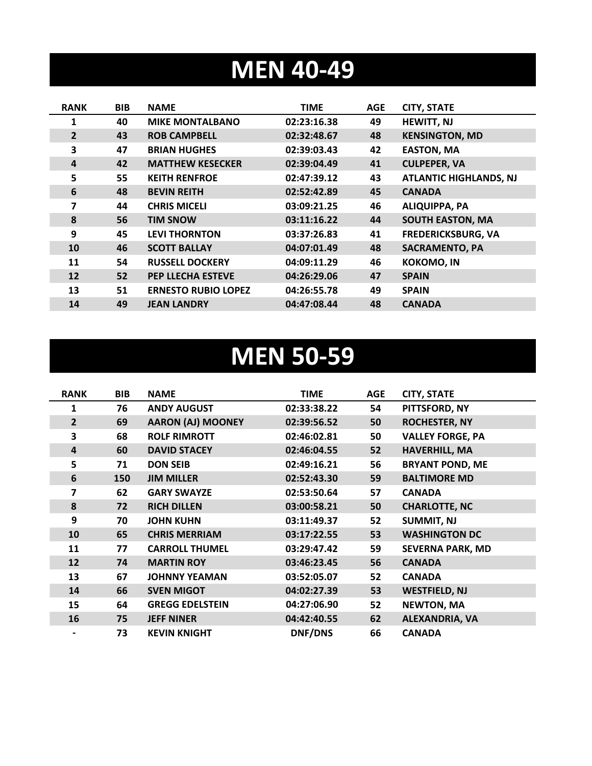### **MEN 40-49**

| <b>RANK</b>    | <b>BIB</b> | <b>NAME</b>                | <b>TIME</b> | <b>AGE</b> | <b>CITY, STATE</b>            |
|----------------|------------|----------------------------|-------------|------------|-------------------------------|
| 1              | 40         | <b>MIKE MONTALBANO</b>     | 02:23:16.38 | 49         | <b>HEWITT, NJ</b>             |
| $\overline{2}$ | 43         | <b>ROB CAMPBELL</b>        | 02:32:48.67 | 48         | <b>KENSINGTON, MD</b>         |
| 3              | 47         | <b>BRIAN HUGHES</b>        | 02:39:03.43 | 42         | <b>EASTON, MA</b>             |
| 4              | 42         | <b>MATTHEW KESECKER</b>    | 02:39:04.49 | 41         | <b>CULPEPER, VA</b>           |
| 5              | 55         | <b>KEITH RENFROE</b>       | 02:47:39.12 | 43         | <b>ATLANTIC HIGHLANDS, NJ</b> |
| 6              | 48         | <b>BEVIN REITH</b>         | 02:52:42.89 | 45         | <b>CANADA</b>                 |
| 7              | 44         | <b>CHRIS MICELI</b>        | 03:09:21.25 | 46         | <b>ALIQUIPPA, PA</b>          |
| 8              | 56         | <b>TIM SNOW</b>            | 03:11:16.22 | 44         | <b>SOUTH EASTON, MA</b>       |
| 9              | 45         | <b>LEVI THORNTON</b>       | 03:37:26.83 | 41         | <b>FREDERICKSBURG, VA</b>     |
| 10             | 46         | <b>SCOTT BALLAY</b>        | 04:07:01.49 | 48         | <b>SACRAMENTO, PA</b>         |
| 11             | 54         | <b>RUSSELL DOCKERY</b>     | 04:09:11.29 | 46         | <b>KOKOMO, IN</b>             |
| 12             | 52         | <b>PEP LLECHA ESTEVE</b>   | 04:26:29.06 | 47         | <b>SPAIN</b>                  |
| 13             | 51         | <b>ERNESTO RUBIO LOPEZ</b> | 04:26:55.78 | 49         | <b>SPAIN</b>                  |
| 14             | 49         | <b>JEAN LANDRY</b>         | 04:47:08.44 | 48         | <b>CANADA</b>                 |

#### **MEN 50-59**

| <b>RANK</b>    | <b>BIB</b> | <b>NAME</b>              | <b>TIME</b> | <b>AGE</b> | <b>CITY, STATE</b>      |
|----------------|------------|--------------------------|-------------|------------|-------------------------|
| 1              | 76         | <b>ANDY AUGUST</b>       | 02:33:38.22 | 54         | PITTSFORD, NY           |
| $\overline{2}$ | 69         | <b>AARON (AJ) MOONEY</b> | 02:39:56.52 | 50         | <b>ROCHESTER, NY</b>    |
| 3              | 68         | <b>ROLF RIMROTT</b>      | 02:46:02.81 | 50         | <b>VALLEY FORGE, PA</b> |
| 4              | 60         | <b>DAVID STACEY</b>      | 02:46:04.55 | 52         | <b>HAVERHILL, MA</b>    |
| 5              | 71         | <b>DON SEIB</b>          | 02:49:16.21 | 56         | <b>BRYANT POND, ME</b>  |
| 6              | 150        | <b>JIM MILLER</b>        | 02:52:43.30 | 59         | <b>BALTIMORE MD</b>     |
| 7              | 62         | <b>GARY SWAYZE</b>       | 02:53:50.64 | 57         | <b>CANADA</b>           |
| 8              | 72         | <b>RICH DILLEN</b>       | 03:00:58.21 | 50         | <b>CHARLOTTE, NC</b>    |
| 9              | 70         | <b>JOHN KUHN</b>         | 03:11:49.37 | 52         | <b>SUMMIT, NJ</b>       |
| 10             | 65         | <b>CHRIS MERRIAM</b>     | 03:17:22.55 | 53         | <b>WASHINGTON DC</b>    |
| 11             | 77         | <b>CARROLL THUMEL</b>    | 03:29:47.42 | 59         | <b>SEVERNA PARK, MD</b> |
| 12             | 74         | <b>MARTIN ROY</b>        | 03:46:23.45 | 56         | <b>CANADA</b>           |
| 13             | 67         | <b>JOHNNY YEAMAN</b>     | 03:52:05.07 | 52         | <b>CANADA</b>           |
| 14             | 66         | <b>SVEN MIGOT</b>        | 04:02:27.39 | 53         | <b>WESTFIELD, NJ</b>    |
| 15             | 64         | <b>GREGG EDELSTEIN</b>   | 04:27:06.90 | 52         | <b>NEWTON, MA</b>       |
| 16             | 75         | <b>JEFF NINER</b>        | 04:42:40.55 | 62         | <b>ALEXANDRIA, VA</b>   |
|                | 73         | <b>KEVIN KNIGHT</b>      | DNF/DNS     | 66         | <b>CANADA</b>           |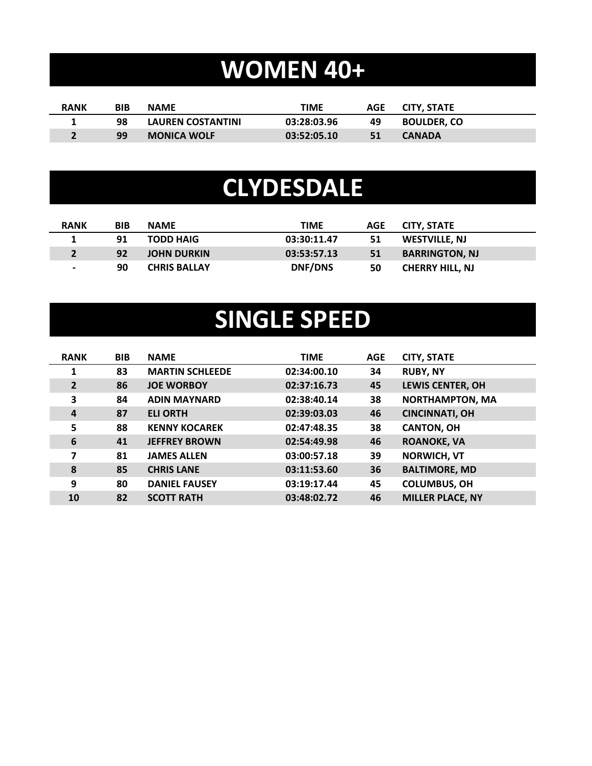# **WOMEN 40+**

| <b>RANK</b> | BIB | <b>NAME</b>              | TIME        |    | AGE CITY. STATE    |
|-------------|-----|--------------------------|-------------|----|--------------------|
|             | 98  | <b>LAUREN COSTANTINI</b> | 03:28:03.96 | 49 | <b>BOULDER. CO</b> |
|             | 99  | <b>MONICA WOLF</b>       | 03:52:05.10 | 51 | <b>CANADA</b>      |

#### **CLYDESDALE**

| <b>RANK</b>              | <b>BIB</b> | <b>NAME</b>         | <b>TIME</b>    | <b>AGE</b> | <b>CITY, STATE</b>     |
|--------------------------|------------|---------------------|----------------|------------|------------------------|
|                          | 91         | <b>TODD HAIG</b>    | 03:30:11.47    | 51         | WESTVILLE, NJ          |
|                          | 92         | <b>JOHN DURKIN</b>  | 03:53:57.13    | 51         | <b>BARRINGTON, NJ</b>  |
| $\overline{\phantom{0}}$ | 90         | <b>CHRIS BALLAY</b> | <b>DNF/DNS</b> | 50         | <b>CHERRY HILL, NJ</b> |

## **SINGLE SPEED**

| <b>RANK</b>    | <b>BIB</b> | <b>NAME</b>            | <b>TIME</b> | <b>AGE</b> | <b>CITY, STATE</b>      |
|----------------|------------|------------------------|-------------|------------|-------------------------|
| $\mathbf{1}$   | 83         | <b>MARTIN SCHLEEDE</b> | 02:34:00.10 | 34         | <b>RUBY, NY</b>         |
| $\overline{2}$ | 86         | <b>JOE WORBOY</b>      | 02:37:16.73 | 45         | <b>LEWIS CENTER, OH</b> |
| 3              | 84         | <b>ADIN MAYNARD</b>    | 02:38:40.14 | 38         | <b>NORTHAMPTON, MA</b>  |
| $\overline{a}$ | 87         | <b>ELI ORTH</b>        | 02:39:03.03 | 46         | <b>CINCINNATI, OH</b>   |
| 5              | 88         | <b>KENNY KOCAREK</b>   | 02:47:48.35 | 38         | <b>CANTON, OH</b>       |
| 6              | 41         | <b>JEFFREY BROWN</b>   | 02:54:49.98 | 46         | <b>ROANOKE, VA</b>      |
| 7              | 81         | <b>JAMES ALLEN</b>     | 03:00:57.18 | 39         | <b>NORWICH, VT</b>      |
| 8              | 85         | <b>CHRIS LANE</b>      | 03:11:53.60 | 36         | <b>BALTIMORE, MD</b>    |
| 9              | 80         | <b>DANIEL FAUSEY</b>   | 03:19:17.44 | 45         | <b>COLUMBUS, OH</b>     |
| 10             | 82         | <b>SCOTT RATH</b>      | 03:48:02.72 | 46         | <b>MILLER PLACE, NY</b> |